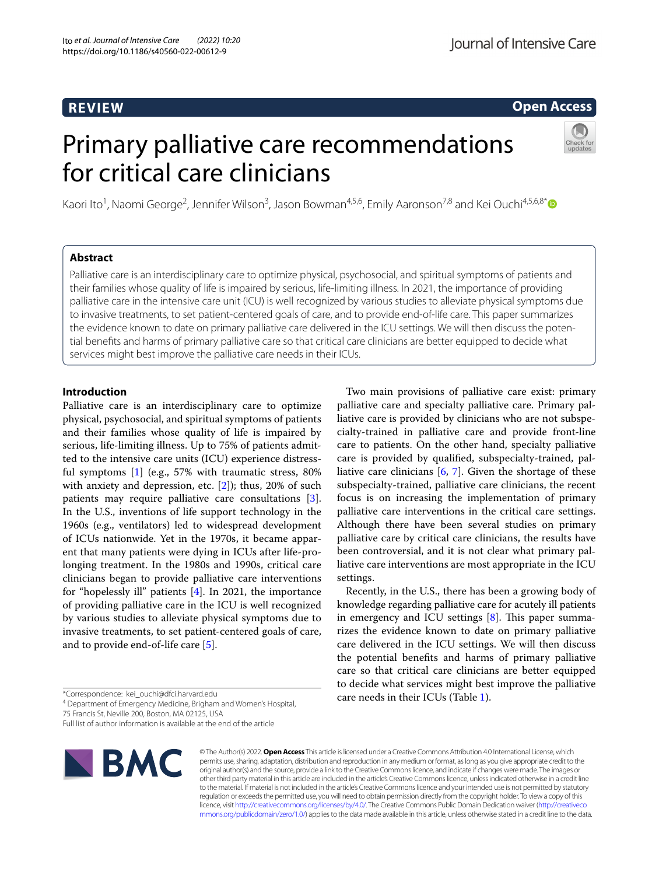# **REVIEW**

# **Open Access**

# Primary palliative care recommendations for critical care clinicians



Kaori Ito<sup>1</sup>, Naomi George<sup>2</sup>, Jennifer Wilson<sup>3</sup>, Jason Bowman<sup>4,5,6</sup>, Emily Aaronson<sup>7,8</sup> and Kei Ouchi<sup>4,5,6,8[\\*](http://orcid.org/0000-0002-2723-4259)</sup>

# **Abstract**

Palliative care is an interdisciplinary care to optimize physical, psychosocial, and spiritual symptoms of patients and their families whose quality of life is impaired by serious, life-limiting illness. In 2021, the importance of providing palliative care in the intensive care unit (ICU) is well recognized by various studies to alleviate physical symptoms due to invasive treatments, to set patient-centered goals of care, and to provide end-of-life care. This paper summarizes the evidence known to date on primary palliative care delivered in the ICU settings. We will then discuss the potential benefts and harms of primary palliative care so that critical care clinicians are better equipped to decide what services might best improve the palliative care needs in their ICUs.

# **Introduction**

Palliative care is an interdisciplinary care to optimize physical, psychosocial, and spiritual symptoms of patients and their families whose quality of life is impaired by serious, life-limiting illness. Up to 75% of patients admitted to the intensive care units (ICU) experience distressful symptoms [\[1](#page-5-0)] (e.g., 57% with traumatic stress, 80% with anxiety and depression, etc.  $[2]$  $[2]$ ; thus, 20% of such patients may require palliative care consultations [\[3](#page-5-2)]. In the U.S., inventions of life support technology in the 1960s (e.g., ventilators) led to widespread development of ICUs nationwide. Yet in the 1970s, it became apparent that many patients were dying in ICUs after life-prolonging treatment. In the 1980s and 1990s, critical care clinicians began to provide palliative care interventions for "hopelessly ill" patients [\[4](#page-5-3)]. In 2021, the importance of providing palliative care in the ICU is well recognized by various studies to alleviate physical symptoms due to invasive treatments, to set patient-centered goals of care, and to provide end-of-life care [\[5](#page-5-4)].

4 Department of Emergency Medicine, Brigham and Women's Hospital,

75 Francis St, Neville 200, Boston, MA 02125, USA

Full list of author information is available at the end of the article



© The Author(s) 2022. **Open Access** This article is licensed under a Creative Commons Attribution 4.0 International License, which permits use, sharing, adaptation, distribution and reproduction in any medium or format, as long as you give appropriate credit to the original author(s) and the source, provide a link to the Creative Commons licence, and indicate if changes were made. The images or other third party material in this article are included in the article's Creative Commons licence, unless indicated otherwise in a credit line to the material. If material is not included in the article's Creative Commons licence and your intended use is not permitted by statutory regulation or exceeds the permitted use, you will need to obtain permission directly from the copyright holder. To view a copy of this licence, visit [http://creativecommons.org/licenses/by/4.0/.](http://creativecommons.org/licenses/by/4.0/) The Creative Commons Public Domain Dedication waiver ([http://creativeco](http://creativecommons.org/publicdomain/zero/1.0/) [mmons.org/publicdomain/zero/1.0/](http://creativecommons.org/publicdomain/zero/1.0/)) applies to the data made available in this article, unless otherwise stated in a credit line to the data.

Two main provisions of palliative care exist: primary palliative care and specialty palliative care. Primary palliative care is provided by clinicians who are not subspecialty-trained in palliative care and provide front-line care to patients. On the other hand, specialty palliative care is provided by qualifed, subspecialty-trained, palliative care clinicians [\[6](#page-5-5), [7\]](#page-5-6). Given the shortage of these subspecialty-trained, palliative care clinicians, the recent focus is on increasing the implementation of primary palliative care interventions in the critical care settings. Although there have been several studies on primary palliative care by critical care clinicians, the results have been controversial, and it is not clear what primary palliative care interventions are most appropriate in the ICU settings.

Recently, in the U.S., there has been a growing body of knowledge regarding palliative care for acutely ill patients in emergency and ICU settings  $[8]$  $[8]$ . This paper summarizes the evidence known to date on primary palliative care delivered in the ICU settings. We will then discuss the potential benefts and harms of primary palliative care so that critical care clinicians are better equipped to decide what services might best improve the palliative care needs in their ICUs (Table [1\)](#page-1-0).

<sup>\*</sup>Correspondence: kei\_ouchi@dfci.harvard.edu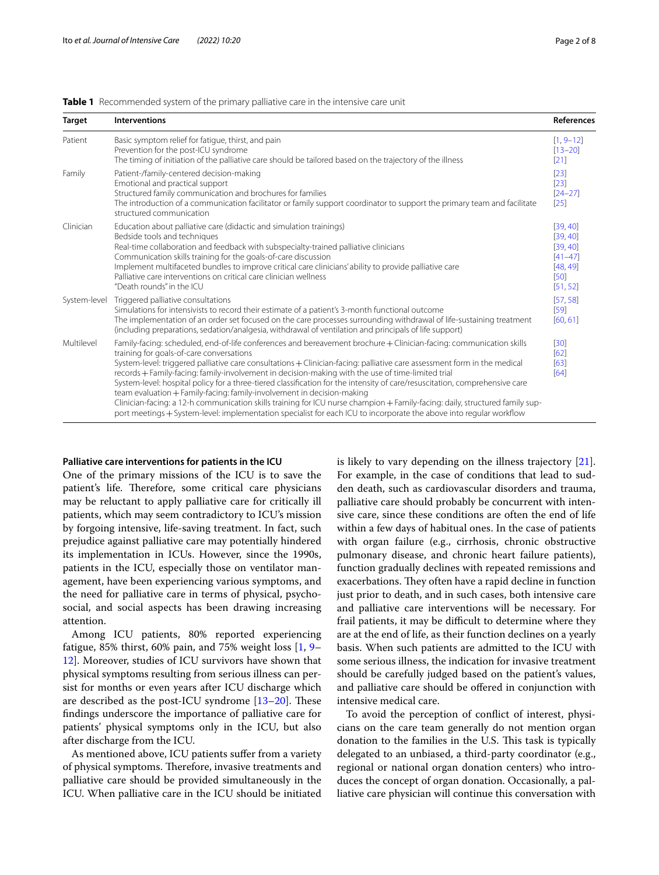<span id="page-1-0"></span>

|  | Table 1 Recommended system of the primary palliative care in the intensive care unit |  |  |  |
|--|--------------------------------------------------------------------------------------|--|--|--|
|--|--------------------------------------------------------------------------------------|--|--|--|

| <b>Target</b> | <b>Interventions</b>                                                                                                                                                                                                                                                                                                                                                                                                                                                                                                                                                                                                                                                                                                                                                                                                                                             | <b>References</b>                                                               |
|---------------|------------------------------------------------------------------------------------------------------------------------------------------------------------------------------------------------------------------------------------------------------------------------------------------------------------------------------------------------------------------------------------------------------------------------------------------------------------------------------------------------------------------------------------------------------------------------------------------------------------------------------------------------------------------------------------------------------------------------------------------------------------------------------------------------------------------------------------------------------------------|---------------------------------------------------------------------------------|
| Patient       | Basic symptom relief for fatigue, thirst, and pain<br>Prevention for the post-ICU syndrome<br>The timing of initiation of the palliative care should be tailored based on the trajectory of the illness                                                                                                                                                                                                                                                                                                                                                                                                                                                                                                                                                                                                                                                          | $[1, 9 - 12]$<br>$[13 - 20]$<br>[21]                                            |
| Family        | Patient-/family-centered decision-making<br>Emotional and practical support<br>Structured family communication and brochures for families<br>The introduction of a communication facilitator or family support coordinator to support the primary team and facilitate<br>structured communication                                                                                                                                                                                                                                                                                                                                                                                                                                                                                                                                                                |                                                                                 |
| Clinician     | Education about palliative care (didactic and simulation trainings)<br>Bedside tools and techniques<br>Real-time collaboration and feedback with subspecialty-trained palliative clinicians<br>Communication skills training for the goals-of-care discussion<br>Implement multifaceted bundles to improve critical care clinicians' ability to provide palliative care<br>Palliative care interventions on critical care clinician wellness<br>"Death rounds" in the ICU                                                                                                                                                                                                                                                                                                                                                                                        | [39, 40]<br>[39, 40]<br>[39, 40]<br>$[41 - 47]$<br>[48, 49]<br>[50]<br>[51, 52] |
| System-level  | Triggered palliative consultations<br>Simulations for intensivists to record their estimate of a patient's 3-month functional outcome<br>The implementation of an order set focused on the care processes surrounding withdrawal of life-sustaining treatment<br>(including preparations, sedation/analgesia, withdrawal of ventilation and principals of life support)                                                                                                                                                                                                                                                                                                                                                                                                                                                                                          | [57, 58]<br>[59]<br>[60, 61]                                                    |
| Multilevel    | Family-facing: scheduled, end-of-life conferences and bereavement brochure + Clinician-facing: communication skills<br>training for goals-of-care conversations<br>System-level: triggered palliative care consultations + Clinician-facing: palliative care assessment form in the medical<br>records + Family-facing: family-involvement in decision-making with the use of time-limited trial<br>System-level: hospital policy for a three-tiered classification for the intensity of care/resuscitation, comprehensive care<br>team evaluation + Family-facing: family-involvement in decision-making<br>Clinician-facing: a 12-h communication skills training for ICU nurse champion + Family-facing: daily, structured family sup-<br>port meetings + System-level: implementation specialist for each ICU to incorporate the above into regular workflow | $[30]$<br>[62]<br>[63]<br>[64]                                                  |

### **Palliative care interventions for patients in the ICU**

One of the primary missions of the ICU is to save the patient's life. Therefore, some critical care physicians may be reluctant to apply palliative care for critically ill patients, which may seem contradictory to ICU's mission by forgoing intensive, life-saving treatment. In fact, such prejudice against palliative care may potentially hindered its implementation in ICUs. However, since the 1990s, patients in the ICU, especially those on ventilator management, have been experiencing various symptoms, and the need for palliative care in terms of physical, psychosocial, and social aspects has been drawing increasing attention.

Among ICU patients, 80% reported experiencing fatigue, 85% thirst, 60% pain, and 75% weight loss  $[1, 9 [1, 9 [1, 9-$ [12\]](#page-5-9). Moreover, studies of ICU survivors have shown that physical symptoms resulting from serious illness can persist for months or even years after ICU discharge which are described as the post-ICU syndrome  $[13–20]$  $[13–20]$  $[13–20]$ . These fndings underscore the importance of palliative care for patients' physical symptoms only in the ICU, but also after discharge from the ICU.

As mentioned above, ICU patients sufer from a variety of physical symptoms. Therefore, invasive treatments and palliative care should be provided simultaneously in the ICU. When palliative care in the ICU should be initiated is likely to vary depending on the illness trajectory [\[21](#page-6-1)]. For example, in the case of conditions that lead to sudden death, such as cardiovascular disorders and trauma, palliative care should probably be concurrent with intensive care, since these conditions are often the end of life within a few days of habitual ones. In the case of patients with organ failure (e.g., cirrhosis, chronic obstructive pulmonary disease, and chronic heart failure patients), function gradually declines with repeated remissions and exacerbations. They often have a rapid decline in function just prior to death, and in such cases, both intensive care and palliative care interventions will be necessary. For frail patients, it may be difficult to determine where they are at the end of life, as their function declines on a yearly basis. When such patients are admitted to the ICU with some serious illness, the indication for invasive treatment should be carefully judged based on the patient's values, and palliative care should be offered in conjunction with intensive medical care.

To avoid the perception of confict of interest, physicians on the care team generally do not mention organ donation to the families in the U.S. This task is typically delegated to an unbiased, a third-party coordinator (e.g., regional or national organ donation centers) who introduces the concept of organ donation. Occasionally, a palliative care physician will continue this conversation with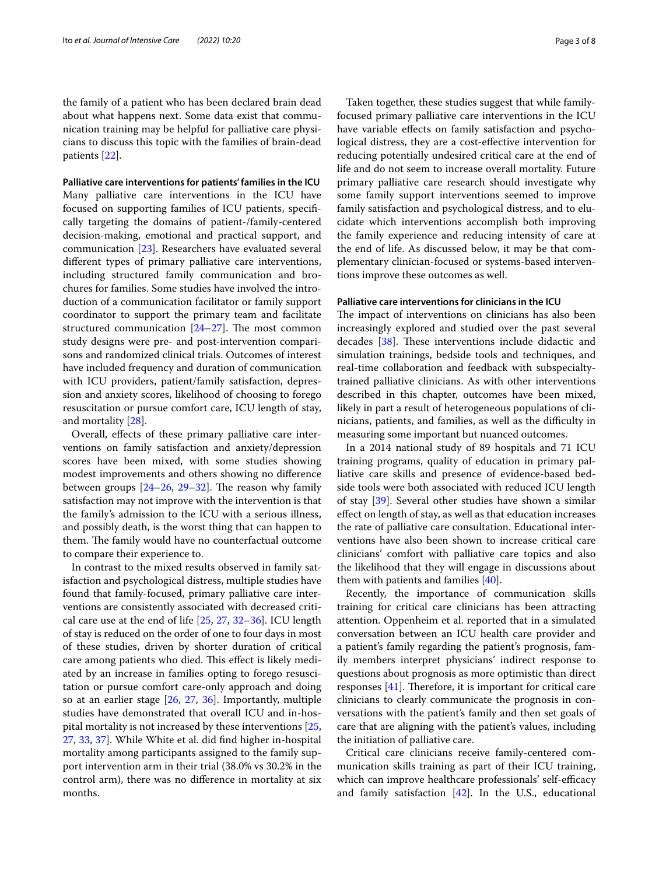the family of a patient who has been declared brain dead about what happens next. Some data exist that communication training may be helpful for palliative care physicians to discuss this topic with the families of brain-dead patients [[22\]](#page-6-12).

**Palliative care interventions for patients' families in the ICU** Many palliative care interventions in the ICU have focused on supporting families of ICU patients, specifcally targeting the domains of patient-/family-centered decision-making, emotional and practical support, and communication [[23\]](#page-6-2). Researchers have evaluated several diferent types of primary palliative care interventions, including structured family communication and brochures for families. Some studies have involved the introduction of a communication facilitator or family support coordinator to support the primary team and facilitate structured communication  $[24-27]$  $[24-27]$ . The most common study designs were pre- and post-intervention comparisons and randomized clinical trials. Outcomes of interest have included frequency and duration of communication with ICU providers, patient/family satisfaction, depression and anxiety scores, likelihood of choosing to forego resuscitation or pursue comfort care, ICU length of stay, and mortality [[28](#page-6-13)].

Overall, efects of these primary palliative care interventions on family satisfaction and anxiety/depression scores have been mixed, with some studies showing modest improvements and others showing no diference between groups  $[24–26, 29–32]$  $[24–26, 29–32]$  $[24–26, 29–32]$  $[24–26, 29–32]$  $[24–26, 29–32]$  $[24–26, 29–32]$ . The reason why family satisfaction may not improve with the intervention is that the family's admission to the ICU with a serious illness, and possibly death, is the worst thing that can happen to them. The family would have no counterfactual outcome to compare their experience to.

In contrast to the mixed results observed in family satisfaction and psychological distress, multiple studies have found that family-focused, primary palliative care interventions are consistently associated with decreased critical care use at the end of life [[25,](#page-6-5) [27,](#page-6-4) [32](#page-6-16)[–36](#page-6-17)]. ICU length of stay is reduced on the order of one to four days in most of these studies, driven by shorter duration of critical care among patients who died. This effect is likely mediated by an increase in families opting to forego resuscitation or pursue comfort care-only approach and doing so at an earlier stage [\[26](#page-6-14), [27,](#page-6-4) [36\]](#page-6-17). Importantly, multiple studies have demonstrated that overall ICU and in-hospital mortality is not increased by these interventions [\[25](#page-6-5), [27,](#page-6-4) [33](#page-6-18), [37](#page-6-19)]. While White et al. did fnd higher in-hospital mortality among participants assigned to the family support intervention arm in their trial (38.0% vs 30.2% in the control arm), there was no diference in mortality at six months.

Taken together, these studies suggest that while familyfocused primary palliative care interventions in the ICU have variable efects on family satisfaction and psychological distress, they are a cost-efective intervention for reducing potentially undesired critical care at the end of life and do not seem to increase overall mortality. Future primary palliative care research should investigate why some family support interventions seemed to improve family satisfaction and psychological distress, and to elucidate which interventions accomplish both improving the family experience and reducing intensity of care at the end of life. As discussed below, it may be that complementary clinician-focused or systems-based interventions improve these outcomes as well.

## **Palliative care interventions for clinicians in the ICU**

The impact of interventions on clinicians has also been increasingly explored and studied over the past several decades [[38\]](#page-6-20). These interventions include didactic and simulation trainings, bedside tools and techniques, and real-time collaboration and feedback with subspecialtytrained palliative clinicians. As with other interventions described in this chapter, outcomes have been mixed, likely in part a result of heterogeneous populations of clinicians, patients, and families, as well as the difficulty in measuring some important but nuanced outcomes.

In a 2014 national study of 89 hospitals and 71 ICU training programs, quality of education in primary palliative care skills and presence of evidence-based bedside tools were both associated with reduced ICU length of stay [\[39](#page-6-6)]. Several other studies have shown a similar efect on length of stay, as well as that education increases the rate of palliative care consultation. Educational interventions have also been shown to increase critical care clinicians' comfort with palliative care topics and also the likelihood that they will engage in discussions about them with patients and families [[40](#page-6-7)].

Recently, the importance of communication skills training for critical care clinicians has been attracting attention. Oppenheim et al. reported that in a simulated conversation between an ICU health care provider and a patient's family regarding the patient's prognosis, family members interpret physicians' indirect response to questions about prognosis as more optimistic than direct responses  $[41]$  $[41]$ . Therefore, it is important for critical care clinicians to clearly communicate the prognosis in conversations with the patient's family and then set goals of care that are aligning with the patient's values, including the initiation of palliative care.

Critical care clinicians receive family-centered communication skills training as part of their ICU training, which can improve healthcare professionals' self-efficacy and family satisfaction  $[42]$  $[42]$ . In the U.S., educational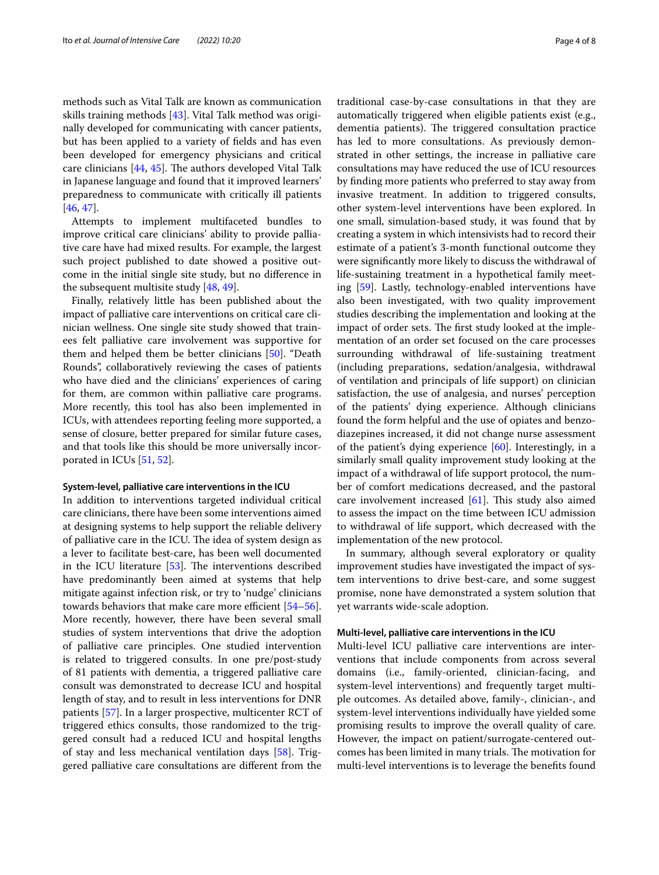methods such as Vital Talk are known as communication skills training methods [[43\]](#page-6-22). Vital Talk method was originally developed for communicating with cancer patients, but has been applied to a variety of felds and has even been developed for emergency physicians and critical care clinicians  $[44, 45]$  $[44, 45]$  $[44, 45]$ . The authors developed Vital Talk in Japanese language and found that it improved learners' preparedness to communicate with critically ill patients [[46,](#page-6-25) [47](#page-6-9)].

Attempts to implement multifaceted bundles to improve critical care clinicians' ability to provide palliative care have had mixed results. For example, the largest such project published to date showed a positive outcome in the initial single site study, but no diference in the subsequent multisite study [[48](#page-6-10), [49\]](#page-7-0).

Finally, relatively little has been published about the impact of palliative care interventions on critical care clinician wellness. One single site study showed that trainees felt palliative care involvement was supportive for them and helped them be better clinicians [\[50](#page-7-1)]. "Death Rounds", collaboratively reviewing the cases of patients who have died and the clinicians' experiences of caring for them, are common within palliative care programs. More recently, this tool has also been implemented in ICUs, with attendees reporting feeling more supported, a sense of closure, better prepared for similar future cases, and that tools like this should be more universally incor-porated in ICUs [[51,](#page-7-2) [52](#page-7-3)].

### **System‑level, palliative care interventions in the ICU**

In addition to interventions targeted individual critical care clinicians, there have been some interventions aimed at designing systems to help support the reliable delivery of palliative care in the ICU. The idea of system design as a lever to facilitate best-care, has been well documented in the ICU literature  $[53]$ . The interventions described have predominantly been aimed at systems that help mitigate against infection risk, or try to 'nudge' clinicians towards behaviors that make care more efficient  $[54–56]$  $[54–56]$  $[54–56]$  $[54–56]$ . More recently, however, there have been several small studies of system interventions that drive the adoption of palliative care principles. One studied intervention is related to triggered consults. In one pre/post-study of 81 patients with dementia, a triggered palliative care consult was demonstrated to decrease ICU and hospital length of stay, and to result in less interventions for DNR patients [\[57\]](#page-7-4). In a larger prospective, multicenter RCT of triggered ethics consults, those randomized to the triggered consult had a reduced ICU and hospital lengths of stay and less mechanical ventilation days [[58](#page-7-5)]. Triggered palliative care consultations are diferent from the traditional case-by-case consultations in that they are automatically triggered when eligible patients exist (e.g., dementia patients). The triggered consultation practice has led to more consultations. As previously demonstrated in other settings, the increase in palliative care consultations may have reduced the use of ICU resources by fnding more patients who preferred to stay away from invasive treatment. In addition to triggered consults, other system-level interventions have been explored. In one small, simulation-based study, it was found that by creating a system in which intensivists had to record their estimate of a patient's 3-month functional outcome they were signifcantly more likely to discuss the withdrawal of life-sustaining treatment in a hypothetical family meeting [\[59](#page-7-6)]. Lastly, technology-enabled interventions have also been investigated, with two quality improvement studies describing the implementation and looking at the impact of order sets. The first study looked at the implementation of an order set focused on the care processes surrounding withdrawal of life-sustaining treatment (including preparations, sedation/analgesia, withdrawal of ventilation and principals of life support) on clinician satisfaction, the use of analgesia, and nurses' perception of the patients' dying experience. Although clinicians found the form helpful and the use of opiates and benzodiazepines increased, it did not change nurse assessment of the patient's dying experience [\[60\]](#page-7-7). Interestingly, in a similarly small quality improvement study looking at the impact of a withdrawal of life support protocol, the number of comfort medications decreased, and the pastoral care involvement increased  $[61]$  $[61]$  $[61]$ . This study also aimed to assess the impact on the time between ICU admission to withdrawal of life support, which decreased with the implementation of the new protocol.

In summary, although several exploratory or quality improvement studies have investigated the impact of system interventions to drive best-care, and some suggest promise, none have demonstrated a system solution that yet warrants wide-scale adoption.

## **Multi‑level, palliative care interventions in the ICU**

Multi-level ICU palliative care interventions are interventions that include components from across several domains (i.e., family-oriented, clinician-facing, and system-level interventions) and frequently target multiple outcomes. As detailed above, family-, clinician-, and system-level interventions individually have yielded some promising results to improve the overall quality of care. However, the impact on patient/surrogate-centered outcomes has been limited in many trials. The motivation for multi-level interventions is to leverage the benefts found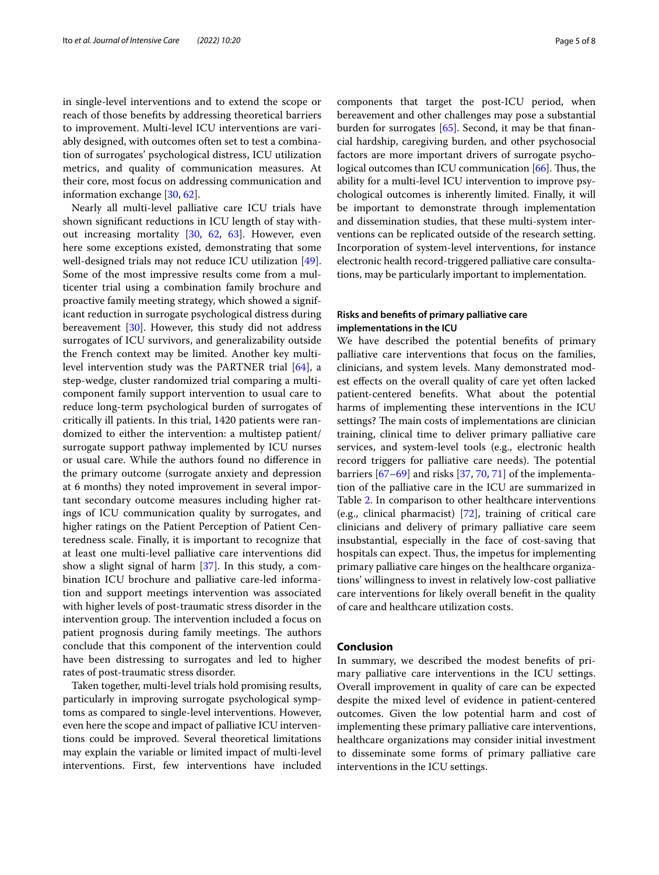in single-level interventions and to extend the scope or reach of those benefts by addressing theoretical barriers to improvement. Multi-level ICU interventions are variably designed, with outcomes often set to test a combination of surrogates' psychological distress, ICU utilization metrics, and quality of communication measures. At their core, most focus on addressing communication and information exchange [\[30](#page-6-11), [62\]](#page-7-9).

Nearly all multi-level palliative care ICU trials have shown signifcant reductions in ICU length of stay without increasing mortality [[30,](#page-6-11) [62](#page-7-9), [63](#page-7-10)]. However, even here some exceptions existed, demonstrating that some well-designed trials may not reduce ICU utilization [\[49](#page-7-0)]. Some of the most impressive results come from a multicenter trial using a combination family brochure and proactive family meeting strategy, which showed a significant reduction in surrogate psychological distress during bereavement [[30\]](#page-6-11). However, this study did not address surrogates of ICU survivors, and generalizability outside the French context may be limited. Another key multilevel intervention study was the PARTNER trial [[64\]](#page-7-11), a step-wedge, cluster randomized trial comparing a multicomponent family support intervention to usual care to reduce long-term psychological burden of surrogates of critically ill patients. In this trial, 1420 patients were randomized to either the intervention: a multistep patient/ surrogate support pathway implemented by ICU nurses or usual care. While the authors found no diference in the primary outcome (surrogate anxiety and depression at 6 months) they noted improvement in several important secondary outcome measures including higher ratings of ICU communication quality by surrogates, and higher ratings on the Patient Perception of Patient Centeredness scale. Finally, it is important to recognize that at least one multi-level palliative care interventions did show a slight signal of harm [[37](#page-6-19)]. In this study, a combination ICU brochure and palliative care-led information and support meetings intervention was associated with higher levels of post-traumatic stress disorder in the intervention group. The intervention included a focus on patient prognosis during family meetings. The authors conclude that this component of the intervention could have been distressing to surrogates and led to higher rates of post-traumatic stress disorder.

Taken together, multi-level trials hold promising results, particularly in improving surrogate psychological symptoms as compared to single-level interventions. However, even here the scope and impact of palliative ICU interventions could be improved. Several theoretical limitations may explain the variable or limited impact of multi-level interventions. First, few interventions have included components that target the post-ICU period, when bereavement and other challenges may pose a substantial burden for surrogates [\[65\]](#page-7-15). Second, it may be that fnancial hardship, caregiving burden, and other psychosocial factors are more important drivers of surrogate psycho-logical outcomes than ICU communication [\[66\]](#page-7-16). Thus, the ability for a multi-level ICU intervention to improve psychological outcomes is inherently limited. Finally, it will be important to demonstrate through implementation and dissemination studies, that these multi-system interventions can be replicated outside of the research setting. Incorporation of system-level interventions, for instance electronic health record-triggered palliative care consultations, may be particularly important to implementation.

# **Risks and benefts of primary palliative care implementations in the ICU**

We have described the potential benefts of primary palliative care interventions that focus on the families, clinicians, and system levels. Many demonstrated modest efects on the overall quality of care yet often lacked patient-centered benefts. What about the potential harms of implementing these interventions in the ICU settings? The main costs of implementations are clinician training, clinical time to deliver primary palliative care services, and system-level tools (e.g., electronic health record triggers for palliative care needs). The potential barriers [\[67](#page-7-17)[–69\]](#page-7-18) and risks [[37,](#page-6-19) [70](#page-7-19), [71\]](#page-7-20) of the implementation of the palliative care in the ICU are summarized in Table [2.](#page-5-11) In comparison to other healthcare interventions (e.g., clinical pharmacist) [\[72\]](#page-7-21), training of critical care clinicians and delivery of primary palliative care seem insubstantial, especially in the face of cost-saving that hospitals can expect. Thus, the impetus for implementing primary palliative care hinges on the healthcare organizations' willingness to invest in relatively low-cost palliative care interventions for likely overall beneft in the quality of care and healthcare utilization costs.

## **Conclusion**

In summary, we described the modest benefts of primary palliative care interventions in the ICU settings. Overall improvement in quality of care can be expected despite the mixed level of evidence in patient-centered outcomes. Given the low potential harm and cost of implementing these primary palliative care interventions, healthcare organizations may consider initial investment to disseminate some forms of primary palliative care interventions in the ICU settings.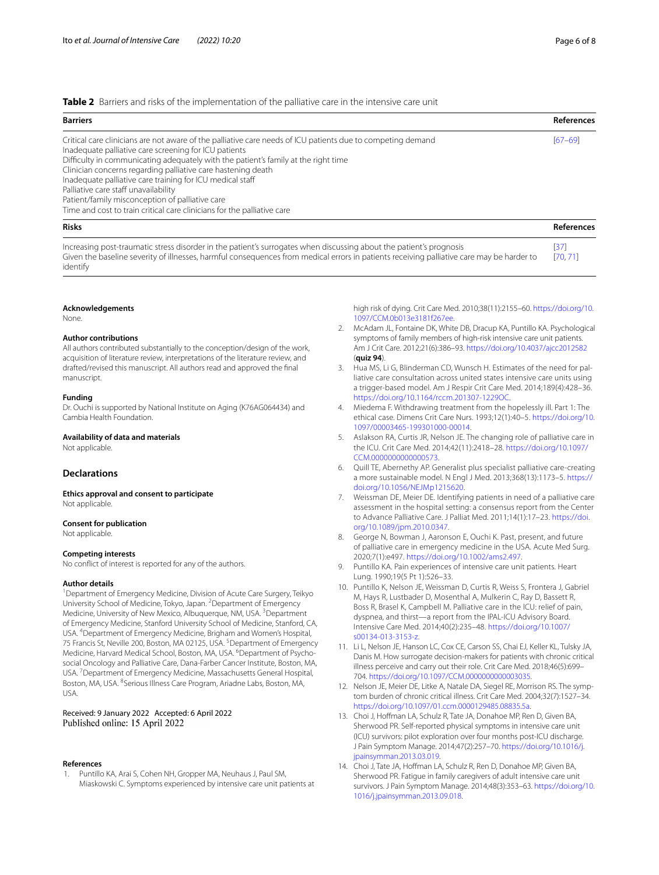# <span id="page-5-11"></span>**Table 2** Barriers and risks of the implementation of the palliative care in the intensive care unit

| <b>Barriers</b>                                                                                                                                                                                                                                                                                                            | <b>References</b> |
|----------------------------------------------------------------------------------------------------------------------------------------------------------------------------------------------------------------------------------------------------------------------------------------------------------------------------|-------------------|
| Critical care clinicians are not aware of the palliative care needs of ICU patients due to competing demand<br>Inadequate palliative care screening for ICU patients<br>Difficulty in communicating adequately with the patient's family at the right time<br>Clinician concerns regarding palliative care hastening death | $[67 - 69]$       |
| Inadequate palliative care training for ICU medical staff                                                                                                                                                                                                                                                                  |                   |
| Palliative care staff unavailability                                                                                                                                                                                                                                                                                       |                   |
| Patient/family misconception of palliative care                                                                                                                                                                                                                                                                            |                   |
| Time and cost to train critical care clinicians for the palliative care                                                                                                                                                                                                                                                    |                   |

| Risks                                                                                                                                                                                                                                                                        | References      |
|------------------------------------------------------------------------------------------------------------------------------------------------------------------------------------------------------------------------------------------------------------------------------|-----------------|
| Increasing post-traumatic stress disorder in the patient's surrogates when discussing about the patient's prognosis<br>Given the baseline severity of illnesses, harmful consequences from medical errors in patients receiving palliative care may be harder to<br>identify | (37)<br>[70.71] |

#### **Acknowledgements**

None.

# **Author contributions**

All authors contributed substantially to the conception/design of the work, acquisition of literature review, interpretations of the literature review, and drafted/revised this manuscript. All authors read and approved the fnal manuscript.

#### **Funding**

Dr. Ouchi is supported by National Institute on Aging (K76AG064434) and Cambia Health Foundation.

#### **Availability of data and materials**

Not applicable.

# **Declarations**

**Ethics approval and consent to participate** Not applicable.

#### **Consent for publication**

Not applicable.

#### **Competing interests**

No confict of interest is reported for any of the authors.

#### **Author details**

<sup>1</sup> Department of Emergency Medicine, Division of Acute Care Surgery, Teikyo University School of Medicine, Tokyo, Japan. <sup>2</sup> Department of Emergency Medicine, University of New Mexico, Albuquerque, NM, USA. <sup>3</sup> Department of Emergency Medicine, Stanford University School of Medicine, Stanford, CA, USA. 4 Department of Emergency Medicine, Brigham and Women's Hospital, 75 Francis St, Neville 200, Boston, MA 02125, USA.<sup>5</sup> Department of Emergency Medicine, Harvard Medical School, Boston, MA, USA. <sup>6</sup>Department of Psychosocial Oncology and Palliative Care, Dana-Farber Cancer Institute, Boston, MA, USA.<sup>7</sup> Department of Emergency Medicine, Massachusetts General Hospital, Boston, MA, USA. <sup>8</sup>Serious Illness Care Program, Ariadne Labs, Boston, MA, USA.

Received: 9 January 2022 Accepted: 6 April 2022

#### **References**

<span id="page-5-0"></span>1. Puntillo KA, Arai S, Cohen NH, Gropper MA, Neuhaus J, Paul SM, Miaskowski C. Symptoms experienced by intensive care unit patients at high risk of dying. Crit Care Med. 2010;38(11):2155–60. [https://doi.org/10.](https://doi.org/10.1097/CCM.0b013e3181f267ee) [1097/CCM.0b013e3181f267ee.](https://doi.org/10.1097/CCM.0b013e3181f267ee)

- <span id="page-5-1"></span>2. McAdam JL, Fontaine DK, White DB, Dracup KA, Puntillo KA. Psychological symptoms of family members of high-risk intensive care unit patients. Am J Crit Care. 2012;21(6):386–93. <https://doi.org/10.4037/ajcc2012582> (**quiz 94**).
- <span id="page-5-2"></span>3. Hua MS, Li G, Blinderman CD, Wunsch H. Estimates of the need for palliative care consultation across united states intensive care units using a trigger-based model. Am J Respir Crit Care Med. 2014;189(4):428–36. <https://doi.org/10.1164/rccm.201307-1229OC>.
- <span id="page-5-3"></span>4. Miedema F. Withdrawing treatment from the hopelessly ill. Part 1: The ethical case. Dimens Crit Care Nurs. 1993;12(1):40–5. [https://doi.org/10.](https://doi.org/10.1097/00003465-199301000-00014) [1097/00003465-199301000-00014](https://doi.org/10.1097/00003465-199301000-00014).
- <span id="page-5-4"></span>5. Aslakson RA, Curtis JR, Nelson JE. The changing role of palliative care in the ICU. Crit Care Med. 2014;42(11):2418–28. [https://doi.org/10.1097/](https://doi.org/10.1097/CCM.0000000000000573) [CCM.0000000000000573.](https://doi.org/10.1097/CCM.0000000000000573)
- <span id="page-5-5"></span>6. Quill TE, Abernethy AP. Generalist plus specialist palliative care-creating a more sustainable model. N Engl J Med. 2013;368(13):1173–5. [https://](https://doi.org/10.1056/NEJMp1215620) [doi.org/10.1056/NEJMp1215620](https://doi.org/10.1056/NEJMp1215620).
- <span id="page-5-6"></span>7. Weissman DE, Meier DE. Identifying patients in need of a palliative care assessment in the hospital setting: a consensus report from the Center to Advance Palliative Care. J Palliat Med. 2011;14(1):17–23. [https://doi.](https://doi.org/10.1089/jpm.2010.0347) [org/10.1089/jpm.2010.0347.](https://doi.org/10.1089/jpm.2010.0347)
- <span id="page-5-7"></span>8. George N, Bowman J, Aaronson E, Ouchi K. Past, present, and future of palliative care in emergency medicine in the USA. Acute Med Surg. 2020;7(1):e497. <https://doi.org/10.1002/ams2.497>.
- <span id="page-5-8"></span>9. Puntillo KA. Pain experiences of intensive care unit patients. Heart Lung. 1990;19(5 Pt 1):526–33.
- 10. Puntillo K, Nelson JE, Weissman D, Curtis R, Weiss S, Frontera J, Gabriel M, Hays R, Lustbader D, Mosenthal A, Mulkerin C, Ray D, Bassett R, Boss R, Brasel K, Campbell M. Palliative care in the ICU: relief of pain, dyspnea, and thirst—a report from the IPAL-ICU Advisory Board. Intensive Care Med. 2014;40(2):235–48. [https://doi.org/10.1007/](https://doi.org/10.1007/s00134-013-3153-z) [s00134-013-3153-z.](https://doi.org/10.1007/s00134-013-3153-z)
- 11. Li L, Nelson JE, Hanson LC, Cox CE, Carson SS, Chai EJ, Keller KL, Tulsky JA, Danis M. How surrogate decision-makers for patients with chronic critical illness perceive and carry out their role. Crit Care Med. 2018;46(5):699– 704. [https://doi.org/10.1097/CCM.0000000000003035.](https://doi.org/10.1097/CCM.0000000000003035)
- <span id="page-5-9"></span>12. Nelson JE, Meier DE, Litke A, Natale DA, Siegel RE, Morrison RS. The symptom burden of chronic critical illness. Crit Care Med. 2004;32(7):1527–34. [https://doi.org/10.1097/01.ccm.0000129485.08835.5a.](https://doi.org/10.1097/01.ccm.0000129485.08835.5a)
- <span id="page-5-10"></span>13. Choi J, Hofman LA, Schulz R, Tate JA, Donahoe MP, Ren D, Given BA, Sherwood PR. Self-reported physical symptoms in intensive care unit (ICU) survivors: pilot exploration over four months post-ICU discharge. J Pain Symptom Manage. 2014;47(2):257–70. [https://doi.org/10.1016/j.](https://doi.org/10.1016/j.jpainsymman.2013.03.019) [jpainsymman.2013.03.019](https://doi.org/10.1016/j.jpainsymman.2013.03.019).
- 14. Choi J, Tate JA, Hofman LA, Schulz R, Ren D, Donahoe MP, Given BA, Sherwood PR. Fatigue in family caregivers of adult intensive care unit survivors. J Pain Symptom Manage. 2014;48(3):353–63. [https://doi.org/10.](https://doi.org/10.1016/j.jpainsymman.2013.09.018) [1016/j.jpainsymman.2013.09.018](https://doi.org/10.1016/j.jpainsymman.2013.09.018).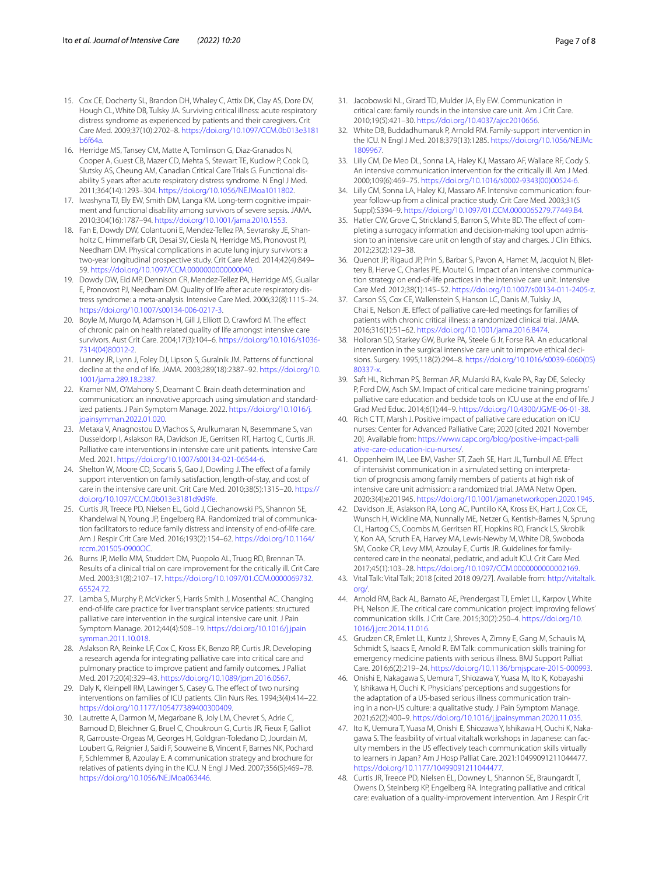- 15. Cox CE, Docherty SL, Brandon DH, Whaley C, Attix DK, Clay AS, Dore DV, Hough CL, White DB, Tulsky JA. Surviving critical illness: acute respiratory distress syndrome as experienced by patients and their caregivers. Crit Care Med. 2009;37(10):2702–8. [https://doi.org/10.1097/CCM.0b013e3181](https://doi.org/10.1097/CCM.0b013e3181b6f64a) [b6f64a](https://doi.org/10.1097/CCM.0b013e3181b6f64a).
- 16. Herridge MS, Tansey CM, Matte A, Tomlinson G, Diaz-Granados N, Cooper A, Guest CB, Mazer CD, Mehta S, Stewart TE, Kudlow P, Cook D, Slutsky AS, Cheung AM, Canadian Critical Care Trials G. Functional disability 5 years after acute respiratory distress syndrome. N Engl J Med. 2011;364(14):1293–304. <https://doi.org/10.1056/NEJMoa1011802>.
- 17. Iwashyna TJ, Ely EW, Smith DM, Langa KM. Long-term cognitive impairment and functional disability among survivors of severe sepsis. JAMA. 2010;304(16):1787–94. <https://doi.org/10.1001/jama.2010.1553>.
- 18. Fan E, Dowdy DW, Colantuoni E, Mendez-Tellez PA, Sevransky JE, Shanholtz C, Himmelfarb CR, Desai SV, Ciesla N, Herridge MS, Pronovost PJ, Needham DM. Physical complications in acute lung injury survivors: a two-year longitudinal prospective study. Crit Care Med. 2014;42(4):849– 59. [https://doi.org/10.1097/CCM.0000000000000040.](https://doi.org/10.1097/CCM.0000000000000040)
- 19. Dowdy DW, Eid MP, Dennison CR, Mendez-Tellez PA, Herridge MS, Guallar E, Pronovost PJ, Needham DM. Quality of life after acute respiratory distress syndrome: a meta-analysis. Intensive Care Med. 2006;32(8):1115–24. [https://doi.org/10.1007/s00134-006-0217-3.](https://doi.org/10.1007/s00134-006-0217-3)
- <span id="page-6-0"></span>20. Boyle M, Murgo M, Adamson H, Gill J, Elliott D, Crawford M. The effect of chronic pain on health related quality of life amongst intensive care survivors. Aust Crit Care. 2004;17(3):104–6. [https://doi.org/10.1016/s1036-](https://doi.org/10.1016/s1036-7314(04)80012-2) [7314\(04\)80012-2.](https://doi.org/10.1016/s1036-7314(04)80012-2)
- <span id="page-6-1"></span>21. Lunney JR, Lynn J, Foley DJ, Lipson S, Guralnik JM. Patterns of functional decline at the end of life. JAMA. 2003;289(18):2387–92. [https://doi.org/10.](https://doi.org/10.1001/jama.289.18.2387) [1001/jama.289.18.2387](https://doi.org/10.1001/jama.289.18.2387).
- <span id="page-6-12"></span>22. Kramer NM, O'Mahony S, Deamant C. Brain death determination and communication: an innovative approach using simulation and standardized patients. J Pain Symptom Manage. 2022. [https://doi.org/10.1016/j.](https://doi.org/10.1016/j.jpainsymman.2022.01.020) [jpainsymman.2022.01.020](https://doi.org/10.1016/j.jpainsymman.2022.01.020).
- <span id="page-6-2"></span>23. Metaxa V, Anagnostou D, Vlachos S, Arulkumaran N, Besemmane S, van Dusseldorp I, Aslakson RA, Davidson JE, Gerritsen RT, Hartog C, Curtis JR. Palliative care interventions in intensive care unit patients. Intensive Care Med. 2021. <https://doi.org/10.1007/s00134-021-06544-6>.
- <span id="page-6-3"></span>24. Shelton W, Moore CD, Socaris S, Gao J, Dowling J. The effect of a family support intervention on family satisfaction, length-of-stay, and cost of care in the intensive care unit. Crit Care Med. 2010;38(5):1315–20. [https://](https://doi.org/10.1097/CCM.0b013e3181d9d9fe) [doi.org/10.1097/CCM.0b013e3181d9d9fe.](https://doi.org/10.1097/CCM.0b013e3181d9d9fe)
- <span id="page-6-5"></span>25. Curtis JR, Treece PD, Nielsen EL, Gold J, Ciechanowski PS, Shannon SE, Khandelwal N, Young JP, Engelberg RA. Randomized trial of communication facilitators to reduce family distress and intensity of end-of-life care. Am J Respir Crit Care Med. 2016;193(2):154–62. [https://doi.org/10.1164/](https://doi.org/10.1164/rccm.201505-0900OC) [rccm.201505-0900OC](https://doi.org/10.1164/rccm.201505-0900OC).
- <span id="page-6-14"></span>26. Burns JP, Mello MM, Studdert DM, Puopolo AL, Truog RD, Brennan TA. Results of a clinical trial on care improvement for the critically ill. Crit Care Med. 2003;31(8):2107–17. [https://doi.org/10.1097/01.CCM.0000069732.](https://doi.org/10.1097/01.CCM.0000069732.65524.72) [65524.72.](https://doi.org/10.1097/01.CCM.0000069732.65524.72)
- <span id="page-6-4"></span>27. Lamba S, Murphy P, McVicker S, Harris Smith J, Mosenthal AC. Changing end-of-life care practice for liver transplant service patients: structured palliative care intervention in the surgical intensive care unit. J Pain Symptom Manage. 2012;44(4):508–19. [https://doi.org/10.1016/j.jpain](https://doi.org/10.1016/j.jpainsymman.2011.10.018) [symman.2011.10.018](https://doi.org/10.1016/j.jpainsymman.2011.10.018).
- <span id="page-6-13"></span>28. Aslakson RA, Reinke LF, Cox C, Kross EK, Benzo RP, Curtis JR. Developing a research agenda for integrating palliative care into critical care and pulmonary practice to improve patient and family outcomes. J Palliat Med. 2017;20(4):329–43.<https://doi.org/10.1089/jpm.2016.0567>.
- <span id="page-6-15"></span>29. Daly K, Kleinpell RM, Lawinger S, Casey G. The effect of two nursing interventions on families of ICU patients. Clin Nurs Res. 1994;3(4):414–22. <https://doi.org/10.1177/105477389400300409>.
- <span id="page-6-11"></span>30. Lautrette A, Darmon M, Megarbane B, Joly LM, Chevret S, Adrie C, Barnoud D, Bleichner G, Bruel C, Choukroun G, Curtis JR, Fieux F, Galliot R, Garrouste-Orgeas M, Georges H, Goldgran-Toledano D, Jourdain M, Loubert G, Reignier J, Saidi F, Souweine B, Vincent F, Barnes NK, Pochard F, Schlemmer B, Azoulay E. A communication strategy and brochure for relatives of patients dying in the ICU. N Engl J Med. 2007;356(5):469–78. [https://doi.org/10.1056/NEJMoa063446.](https://doi.org/10.1056/NEJMoa063446)
- 31. Jacobowski NL, Girard TD, Mulder JA, Ely EW. Communication in critical care: family rounds in the intensive care unit. Am J Crit Care. 2010;19(5):421–30. <https://doi.org/10.4037/ajcc2010656>.
- <span id="page-6-16"></span>32. White DB, Buddadhumaruk P, Arnold RM. Family-support intervention in the ICU. N Engl J Med. 2018;379(13):1285. [https://doi.org/10.1056/NEJMc](https://doi.org/10.1056/NEJMc1809967) [1809967](https://doi.org/10.1056/NEJMc1809967).
- <span id="page-6-18"></span>33. Lilly CM, De Meo DL, Sonna LA, Haley KJ, Massaro AF, Wallace RF, Cody S. An intensive communication intervention for the critically ill. Am J Med. 2000;109(6):469–75. [https://doi.org/10.1016/s0002-9343\(00\)00524-6](https://doi.org/10.1016/s0002-9343(00)00524-6).
- 34. Lilly CM, Sonna LA, Haley KJ, Massaro AF. Intensive communication: fouryear follow-up from a clinical practice study. Crit Care Med. 2003;31(5 Suppl):S394–9.<https://doi.org/10.1097/01.CCM.0000065279.77449.B4>.
- 35. Hatler CW, Grove C, Strickland S, Barron S, White BD. The effect of completing a surrogacy information and decision-making tool upon admission to an intensive care unit on length of stay and charges. J Clin Ethics. 2012;23(2):129–38.
- <span id="page-6-17"></span>36. Quenot JP, Rigaud JP, Prin S, Barbar S, Pavon A, Hamet M, Jacquiot N, Blettery B, Herve C, Charles PE, Moutel G. Impact of an intensive communication strategy on end-of-life practices in the intensive care unit. Intensive Care Med. 2012;38(1):145–52. [https://doi.org/10.1007/s00134-011-2405-z.](https://doi.org/10.1007/s00134-011-2405-z)
- <span id="page-6-19"></span>37. Carson SS, Cox CE, Wallenstein S, Hanson LC, Danis M, Tulsky JA, Chai E, Nelson JE. Efect of palliative care-led meetings for families of patients with chronic critical illness: a randomized clinical trial. JAMA. 2016;316(1):51–62. <https://doi.org/10.1001/jama.2016.8474>.
- <span id="page-6-20"></span>38. Holloran SD, Starkey GW, Burke PA, Steele G Jr, Forse RA. An educational intervention in the surgical intensive care unit to improve ethical decisions. Surgery. 1995;118(2):294–8. [https://doi.org/10.1016/s0039-6060\(05\)](https://doi.org/10.1016/s0039-6060(05)80337-x) [80337-x](https://doi.org/10.1016/s0039-6060(05)80337-x).
- <span id="page-6-6"></span>39. Saft HL, Richman PS, Berman AR, Mularski RA, Kvale PA, Ray DE, Selecky P, Ford DW, Asch SM. Impact of critical care medicine training programs' palliative care education and bedside tools on ICU use at the end of life. J Grad Med Educ. 2014;6(1):44–9. <https://doi.org/10.4300/JGME-06-01-38>.
- <span id="page-6-7"></span>40. Rich C TT, Marsh J. Positive impact of palliative care education on ICU nurses: Center for Advanced Palliative Care; 2020 [cited 2021 November 20]. Available from: [https://www.capc.org/blog/positive-impact-palli](https://www.capc.org/blog/positive-impact-palliative-care-education-icu-nurses/) [ative-care-education-icu-nurses/](https://www.capc.org/blog/positive-impact-palliative-care-education-icu-nurses/).
- <span id="page-6-8"></span>41. Oppenheim IM, Lee EM, Vasher ST, Zaeh SE, Hart JL, Turnbull AE. Efect of intensivist communication in a simulated setting on interpretation of prognosis among family members of patients at high risk of intensive care unit admission: a randomized trial. JAMA Netw Open. 2020;3(4):e201945. [https://doi.org/10.1001/jamanetworkopen.2020.1945.](https://doi.org/10.1001/jamanetworkopen.2020.1945)
- <span id="page-6-21"></span>42. Davidson JE, Aslakson RA, Long AC, Puntillo KA, Kross EK, Hart J, Cox CE, Wunsch H, Wickline MA, Nunnally ME, Netzer G, Kentish-Barnes N, Sprung CL, Hartog CS, Coombs M, Gerritsen RT, Hopkins RO, Franck LS, Skrobik Y, Kon AA, Scruth EA, Harvey MA, Lewis-Newby M, White DB, Swoboda SM, Cooke CR, Levy MM, Azoulay E, Curtis JR. Guidelines for familycentered care in the neonatal, pediatric, and adult ICU. Crit Care Med. 2017;45(1):103–28. [https://doi.org/10.1097/CCM.0000000000002169.](https://doi.org/10.1097/CCM.0000000000002169)
- <span id="page-6-22"></span>43. Vital Talk: Vital Talk; 2018 [cited 2018 09/27]. Available from: [http://vitaltalk.](http://vitaltalk.org/) [org/.](http://vitaltalk.org/)
- <span id="page-6-23"></span>44. Arnold RM, Back AL, Barnato AE, Prendergast TJ, Emlet LL, Karpov I, White PH, Nelson JE. The critical care communication project: improving fellows' communication skills. J Crit Care. 2015;30(2):250–4. [https://doi.org/10.](https://doi.org/10.1016/j.jcrc.2014.11.016) [1016/j.jcrc.2014.11.016](https://doi.org/10.1016/j.jcrc.2014.11.016).
- <span id="page-6-24"></span>45. Grudzen CR, Emlet LL, Kuntz J, Shreves A, Zimny E, Gang M, Schaulis M, Schmidt S, Isaacs E, Arnold R. EM Talk: communication skills training for emergency medicine patients with serious illness. BMJ Support Palliat Care. 2016;6(2):219–24. <https://doi.org/10.1136/bmjspcare-2015-000993>.
- <span id="page-6-25"></span>46. Onishi E, Nakagawa S, Uemura T, Shiozawa Y, Yuasa M, Ito K, Kobayashi Y, Ishikawa H, Ouchi K. Physicians' perceptions and suggestions for the adaptation of a US-based serious illness communication training in a non-US culture: a qualitative study. J Pain Symptom Manage. 2021;62(2):400–9.<https://doi.org/10.1016/j.jpainsymman.2020.11.035>.
- <span id="page-6-9"></span>47. Ito K, Uemura T, Yuasa M, Onishi E, Shiozawa Y, Ishikawa H, Ouchi K, Nakagawa S. The feasibility of virtual vitaltalk workshops in Japanese: can faculty members in the US efectively teach communication skills virtually to learners in Japan? Am J Hosp Palliat Care. 2021:10499091211044477. [https://doi.org/10.1177/10499091211044477.](https://doi.org/10.1177/10499091211044477)
- <span id="page-6-10"></span>48. Curtis JR, Treece PD, Nielsen EL, Downey L, Shannon SE, Braungardt T, Owens D, Steinberg KP, Engelberg RA. Integrating palliative and critical care: evaluation of a quality-improvement intervention. Am J Respir Crit